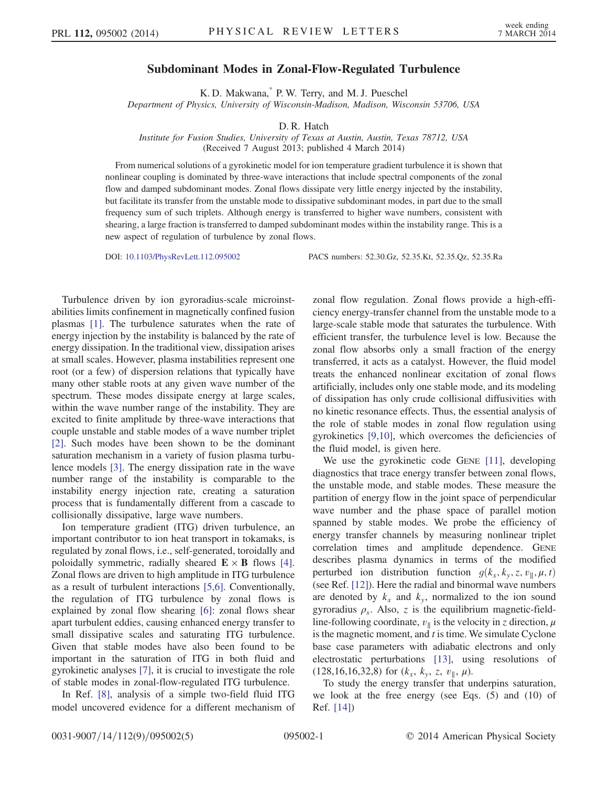## Subdominant Modes in Zonal-Flow-Regulated Turbulence

K. D. Makwana[,\\*](#page-4-0) P. W. Terry, and M. J. Pueschel

<span id="page-0-1"></span>Department of Physics, University of Wisconsin-Madison, Madison, Wisconsin 53706, USA

D. R. Hatch

Institute for Fusion Studies, University of Texas at Austin, Austin, Texas 78712, USA (Received 7 August 2013; published 4 March 2014)

From numerical solutions of a gyrokinetic model for ion temperature gradient turbulence it is shown that nonlinear coupling is dominated by three-wave interactions that include spectral components of the zonal flow and damped subdominant modes. Zonal flows dissipate very little energy injected by the instability, but facilitate its transfer from the unstable mode to dissipative subdominant modes, in part due to the small frequency sum of such triplets. Although energy is transferred to higher wave numbers, consistent with shearing, a large fraction is transferred to damped subdominant modes within the instability range. This is a new aspect of regulation of turbulence by zonal flows.

DOI: [10.1103/PhysRevLett.112.095002](http://dx.doi.org/10.1103/PhysRevLett.112.095002) PACS numbers: 52.30.Gz, 52.35.Kt, 52.35.Qz, 52.35.Ra

Turbulence driven by ion gyroradius-scale microinstabilities limits confinement in magnetically confined fusion plasmas [\[1\].](#page-4-1) The turbulence saturates when the rate of energy injection by the instability is balanced by the rate of energy dissipation. In the traditional view, dissipation arises at small scales. However, plasma instabilities represent one root (or a few) of dispersion relations that typically have many other stable roots at any given wave number of the spectrum. These modes dissipate energy at large scales, within the wave number range of the instability. They are excited to finite amplitude by three-wave interactions that couple unstable and stable modes of a wave number triplet [\[2\]](#page-4-2). Such modes have been shown to be the dominant saturation mechanism in a variety of fusion plasma turbulence models [\[3\].](#page-4-3) The energy dissipation rate in the wave number range of the instability is comparable to the instability energy injection rate, creating a saturation process that is fundamentally different from a cascade to collisionally dissipative, large wave numbers.

Ion temperature gradient (ITG) driven turbulence, an important contributor to ion heat transport in tokamaks, is regulated by zonal flows, i.e., self-generated, toroidally and poloidally symmetric, radially sheared  $\mathbf{E} \times \mathbf{B}$  flows [\[4\]](#page-4-4). Zonal flows are driven to high amplitude in ITG turbulence as a result of turbulent interactions [\[5,6\].](#page-4-5) Conventionally, the regulation of ITG turbulence by zonal flows is explained by zonal flow shearing [\[6\]:](#page-4-6) zonal flows shear apart turbulent eddies, causing enhanced energy transfer to small dissipative scales and saturating ITG turbulence. Given that stable modes have also been found to be important in the saturation of ITG in both fluid and gyrokinetic analyses [\[7\]](#page-4-7), it is crucial to investigate the role of stable modes in zonal-flow-regulated ITG turbulence.

In Ref. [\[8\],](#page-4-8) analysis of a simple two-field fluid ITG model uncovered evidence for a different mechanism of zonal flow regulation. Zonal flows provide a high-efficiency energy-transfer channel from the unstable mode to a large-scale stable mode that saturates the turbulence. With efficient transfer, the turbulence level is low. Because the zonal flow absorbs only a small fraction of the energy transferred, it acts as a catalyst. However, the fluid model treats the enhanced nonlinear excitation of zonal flows artificially, includes only one stable mode, and its modeling of dissipation has only crude collisional diffusivities with no kinetic resonance effects. Thus, the essential analysis of the role of stable modes in zonal flow regulation using gyrokinetics [\[9,10\],](#page-4-9) which overcomes the deficiencies of the fluid model, is given here.

We use the gyrokinetic code GENE [\[11\]](#page-4-10), developing diagnostics that trace energy transfer between zonal flows, the unstable mode, and stable modes. These measure the partition of energy flow in the joint space of perpendicular wave number and the phase space of parallel motion spanned by stable modes. We probe the efficiency of energy transfer channels by measuring nonlinear triplet correlation times and amplitude dependence. GENE describes plasma dynamics in terms of the modified perturbed ion distribution function  $g(k_x, k_y, z, v_{\parallel}, \mu, t)$ (see Ref. [\[12\]](#page-4-11)). Here the radial and binormal wave numbers are denoted by  $k_x$  and  $k_y$ , normalized to the ion sound gyroradius  $\rho_s$ . Also, z is the equilibrium magnetic-fieldline-following coordinate,  $v_{\parallel}$  is the velocity in z direction,  $\mu$ is the magnetic moment, and  $t$  is time. We simulate Cyclone base case parameters with adiabatic electrons and only electrostatic perturbations [\[13\]](#page-4-12), using resolutions of (128,16,16,32,8) for  $(k_x, k_y, z, v_{\parallel}, \mu)$ .

<span id="page-0-0"></span>To study the energy transfer that underpins saturation, we look at the free energy (see Eqs. (5) and (10) of Ref. [\[14\]\)](#page-4-13)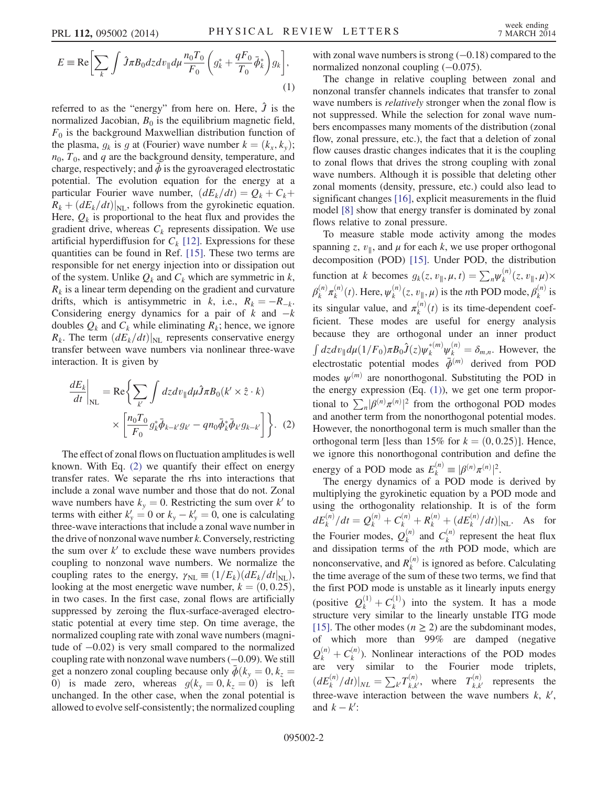$$
E = \text{Re}\left[\sum_{k} \int \hat{J}\pi B_0 dz dv_{\parallel} d\mu \frac{n_0 T_0}{F_0} \left(g_k^* + \frac{qF_0}{T_0} \bar{\phi}_k^*\right) g_k\right],\tag{1}
$$

referred to as the "energy" from here on. Here,  $\hat{J}$  is the normalized Jacobian,  $B_0$  is the equilibrium magnetic field,  $F_0$  is the background Maxwellian distribution function of the plasma,  $g_k$  is g at (Fourier) wave number  $k = (k_x, k_y)$ ;  $n_0$ ,  $T_0$ , and q are the background density, temperature, and charge, respectively; and  $\bar{\phi}$  is the gyroaveraged electrostatic potential. The evolution equation for the energy at a particular Fourier wave number,  $(dE_k/dt) = Q_k + C_k$  $R_k + (dE_k/dt)|_{\text{NL}}$ , follows from the gyrokinetic equation. Here,  $Q_k$  is proportional to the heat flux and provides the gradient drive, whereas  $C_k$  represents dissipation. We use artificial hyperdiffusion for  $C_k$  [\[12\]](#page-4-11). Expressions for these quantities can be found in Ref. [\[15\].](#page-4-14) These two terms are responsible for net energy injection into or dissipation out of the system. Unlike  $Q_k$  and  $C_k$  which are symmetric in  $k$ ,  $R_k$  is a linear term depending on the gradient and curvature drifts, which is antisymmetric in k, i.e.,  $R_k = -R_{-k}$ . Considering energy dynamics for a pair of  $k$  and  $-k$ doubles  $Q_k$  and  $C_k$  while eliminating  $R_k$ ; hence, we ignore  $R_k$ . The term  $(dE_k/dt)|_{NL}$  represents conservative energy transfer between wave numbers via nonlinear three-wave interaction. It is given by

<span id="page-1-0"></span>
$$
\frac{dE_k}{dt}\bigg|_{NL} = \text{Re}\bigg\{\sum_{k'} \int dz dv_{\parallel} d\mu \hat{J} \pi B_0(k' \times \hat{z} \cdot k) \times \left[\frac{n_0 T_0}{F_0} g_k^* \bar{\phi}_{k-k'} g_{k'} - q n_0 \bar{\phi}_k^* \bar{\phi}_{k'} g_{k-k'}\right] \bigg\}.
$$
 (2)

The effect of zonal flows on fluctuation amplitudes is well known. With Eq. [\(2\)](#page-1-0) we quantify their effect on energy transfer rates. We separate the rhs into interactions that include a zonal wave number and those that do not. Zonal wave numbers have  $k_y = 0$ . Restricting the sum over k' to terms with either  $k'_y = 0$  or  $k_y - k'_y = 0$ , one is calculating three-wave interactions that include a zonal wave number in the drive of nonzonal wave number  $k$ . Conversely, restricting the sum over  $k'$  to exclude these wave numbers provides coupling to nonzonal wave numbers. We normalize the coupling rates to the energy,  $\gamma_{\text{NL}} \equiv (1/E_k)(dE_k/dt|_{\text{NL}})$ , looking at the most energetic wave number,  $k = (0, 0.25)$ , in two cases. In the first case, zonal flows are artificially suppressed by zeroing the flux-surface-averaged electrostatic potential at every time step. On time average, the normalized coupling rate with zonal wave numbers (magnitude of −0.02) is very small compared to the normalized coupling rate with nonzonal wave numbers (−0.09). We still get a nonzero zonal coupling because only  $\bar{\phi}(k_y = 0, k_z = 0)$ 0) is made zero, whereas  $g(k_y = 0, k_z = 0)$  is left unchanged. In the other case, when the zonal potential is allowed to evolve self-consistently; the normalized coupling with zonal wave numbers is strong  $(-0.18)$  compared to the normalized nonzonal coupling (−0.075).

The change in relative coupling between zonal and nonzonal transfer channels indicates that transfer to zonal wave numbers is *relatively* stronger when the zonal flow is not suppressed. While the selection for zonal wave numbers encompasses many moments of the distribution (zonal flow, zonal pressure, etc.), the fact that a deletion of zonal flow causes drastic changes indicates that it is the coupling to zonal flows that drives the strong coupling with zonal wave numbers. Although it is possible that deleting other zonal moments (density, pressure, etc.) could also lead to significant changes [\[16\]](#page-4-15), explicit measurements in the fluid model [\[8\]](#page-4-8) show that energy transfer is dominated by zonal flows relative to zonal pressure.

To measure stable mode activity among the modes spanning z,  $v_{\parallel}$ , and  $\mu$  for each k, we use proper orthogonal decomposition (POD) [\[15\].](#page-4-14) Under POD, the distribution function at k becomes  $g_k(z, v_{\parallel}, \mu, t) = \sum_n \psi_k^{(n)}(z, v_{\parallel}, \mu) \times$  $\beta_k^{(n)} \pi_k^{(n)}(t)$ . Here,  $\psi_k^{(n)}(z, v_{\parallel}, \mu)$  is the *n*th POD mode,  $\beta_k^{(n)}$  is its singular value, and  $\pi_k^{(n)}(t)$  is its time-dependent coefficient. These modes are useful for energy analysis because they are orthogonal under an inner product  $\int dz dv_{\parallel} d\mu (1/F_0) \pi B_0 \hat{J}(z) \psi_k^{*(m)} \psi_k^{(n)} = \delta_{m,n}$ . However, the electrostatic potential modes  $\bar{\phi}^{(m)}$  derived from POD modes  $\psi^{(m)}$  are nonorthogonal. Substituting the POD in the energy expression  $(Eq. (1))$  $(Eq. (1))$  $(Eq. (1))$ , we get one term proportional to  $\sum_{n} |\beta^{(n)} \pi^{(n)}|^{2}$  from the orthogonal POD modes and another term from the nonorthogonal potential modes. However, the nonorthogonal term is much smaller than the orthogonal term [less than 15% for  $k = (0, 0.25)$ ]. Hence, we ignore this nonorthogonal contribution and define the energy of a POD mode as  $E_k^{(n)} \equiv |\beta^{(n)} \pi^{(n)}|^2$ .

The energy dynamics of a POD mode is derived by multiplying the gyrokinetic equation by a POD mode and using the orthogonality relationship. It is of the form  $dE_k^{(n)}/dt = Q_k^{(n)} + C_k^{(n)} + R_k^{(n)} + (dE_k^{(n)}/dt)|_{\text{NL}}$ . As for the Fourier modes,  $Q_k^{(n)}$  and  $C_k^{(n)}$  represent the heat flux and dissipation terms of the nth POD mode, which are nonconservative, and  $R_k^{(n)}$  is ignored as before. Calculating the time average of the sum of these two terms, we find that the first POD mode is unstable as it linearly inputs energy (positive  $Q_k^{(1)} + C_k^{(1)}$ ) into the system. It has a mode structure very similar to the linearly unstable ITG mode [\[15\]](#page-4-14). The other modes ( $n \ge 2$ ) are the subdominant modes, of which more than 99% are damped (negative  $Q_k^{(n)} + C_k^{(n)}$ ). Nonlinear interactions of the POD modes are very similar to the Fourier mode triplets,  $(dE_k^{(n)}/dt)|_{NL} = \sum_{k'} T_{k,k'}^{(n)}$ , where  $T_{k,k'}^{(n)}$  represents the three-wave interaction between the wave numbers  $k, k',$ and  $k - k'$ :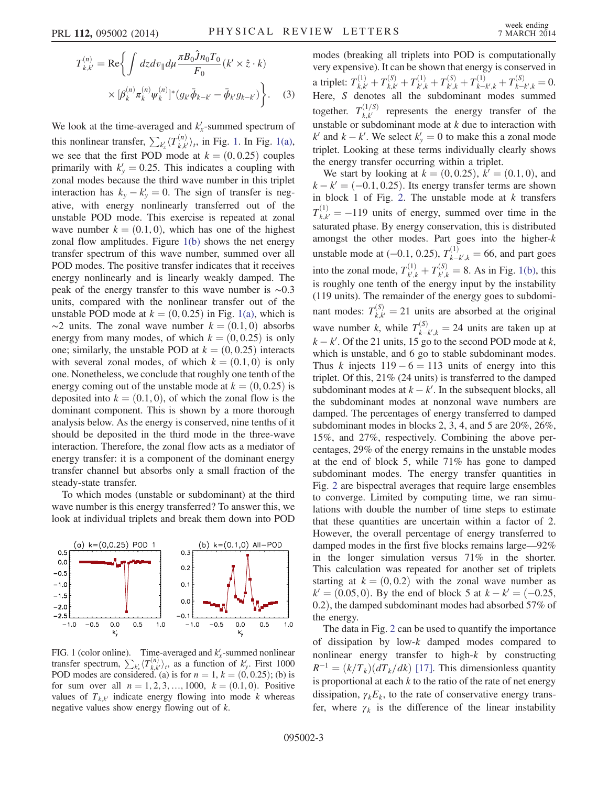$$
T_{k,k'}^{(n)} = \text{Re}\bigg\{\int dz dv_{\parallel} d\mu \frac{\pi B_0 \hat{J} n_0 T_0}{F_0} (k' \times \hat{z} \cdot k) \times [\beta_k^{(n)} \pi_k^{(n)} \psi_k^{(n)}]^* (g_{k'} \bar{\phi}_{k-k'} - \bar{\phi}_{k'} g_{k-k'}) \bigg\}.
$$
 (3)

We look at the time-averaged and  $k'_x$ -summed spectrum of this nonlinear transfer,  $\sum_{k'_x} \langle T_{k,k'}^{(n)} \rangle_t$ , in Fig. [1.](#page-2-0) In Fig. [1\(a\)](#page-2-0), we see that the first POD mode at  $k = (0, 0.25)$  couples primarily with  $k'_y = 0.25$ . This indicates a coupling with zonal modes because the third wave number in this triplet interaction has  $k_y - k_y' = 0$ . The sign of transfer is negative, with energy nonlinearly transferred out of the unstable POD mode. This exercise is repeated at zonal wave number  $k = (0.1, 0)$ , which has one of the highest zonal flow amplitudes. Figure [1\(b\)](#page-2-0) shows the net energy transfer spectrum of this wave number, summed over all POD modes. The positive transfer indicates that it receives energy nonlinearly and is linearly weakly damped. The peak of the energy transfer to this wave number is ∼0.3 units, compared with the nonlinear transfer out of the unstable POD mode at  $k = (0, 0.25)$  in Fig. [1\(a\),](#page-2-0) which is  $\sim$ 2 units. The zonal wave number  $k = (0.1, 0)$  absorbs energy from many modes, of which  $k = (0, 0.25)$  is only one; similarly, the unstable POD at  $k = (0, 0.25)$  interacts with several zonal modes, of which  $k = (0.1, 0)$  is only one. Nonetheless, we conclude that roughly one tenth of the energy coming out of the unstable mode at  $k = (0, 0.25)$  is deposited into  $k = (0.1, 0)$ , of which the zonal flow is the dominant component. This is shown by a more thorough analysis below. As the energy is conserved, nine tenths of it should be deposited in the third mode in the three-wave interaction. Therefore, the zonal flow acts as a mediator of energy transfer: it is a component of the dominant energy transfer channel but absorbs only a small fraction of the steady-state transfer.

To which modes (unstable or subdominant) at the third wave number is this energy transferred? To answer this, we look at individual triplets and break them down into POD

<span id="page-2-0"></span>

FIG. 1 (color online). Time-averaged and  $k'_x$ -summed nonlinear transfer spectrum,  $\sum_{k'_{x}} \langle T^{(n)}_{k,k'} \rangle_{t}$ , as a function of  $k'_{y}$ . First 1000 POD modes are considered. (a) is for  $n = 1, k = (0, 0.25)$ ; (b) is for sum over all  $n = 1, 2, 3, \dots, 1000$ ,  $k = (0.1, 0)$ . Positive values of  $T_{k,k'}$  indicate energy flowing into mode k whereas negative values show energy flowing out of k.

modes (breaking all triplets into POD is computationally very expensive). It can be shown that energy is conserved in a triplet:  $T_{k,k'}^{(1)} + T_{k,k'}^{(S)} + T_{k',k}^{(1)} + T_{k',k}^{(S)} + T_{k-k',k}^{(1)} + T_{k-k',k}^{(S)} = 0.$ Here, S denotes all the subdominant modes summed together.  $T_{k,k'}^{(1/S)}$  represents the energy transfer of the unstable or subdominant mode at  $k$  due to interaction with  $k'$  and  $k - k'$ . We select  $k'_y = 0$  to make this a zonal mode triplet. Looking at these terms individually clearly shows the energy transfer occurring within a triplet.

We start by looking at  $k = (0, 0.25), k' = (0.1, 0)$ , and  $k - k' = (-0.1, 0.25)$ . Its energy transfer terms are shown in block 1 of Fig. [2](#page-3-0). The unstable mode at  $k$  transfers  $T_{k,k'}^{(1)} = -119$  units of energy, summed over time in the saturated phase. By energy conservation, this is distributed amongst the other modes. Part goes into the higher-k unstable mode at (-0.1, 0.25),  $T_{k-k',k}^{(1)}$  = 66, and part goes into the zonal mode,  $T_{k',k}^{(1)} + T_{k',k}^{(S)} = 8$ . As in Fig. [1\(b\),](#page-2-0) this is roughly one tenth of the energy input by the instability (119 units). The remainder of the energy goes to subdominant modes:  $T_{k,k'}^{(S)} = 21$  units are absorbed at the original wave number k, while  $T_{k-k',k}^{(S)} = 24$  units are taken up at  $k - k'$ . Of the 21 units, 15 go to the second POD mode at  $k$ , which is unstable, and 6 go to stable subdominant modes. Thus k injects  $119 - 6 = 113$  units of energy into this triplet. Of this, 21% (24 units) is transferred to the damped subdominant modes at  $k - k'$ . In the subsequent blocks, all the subdominant modes at nonzonal wave numbers are damped. The percentages of energy transferred to damped subdominant modes in blocks 2, 3, 4, and 5 are 20%, 26%, 15%, and 27%, respectively. Combining the above percentages, 29% of the energy remains in the unstable modes at the end of block 5, while 71% has gone to damped subdominant modes. The energy transfer quantities in Fig. [2](#page-3-0) are bispectral averages that require large ensembles to converge. Limited by computing time, we ran simulations with double the number of time steps to estimate that these quantities are uncertain within a factor of 2. However, the overall percentage of energy transferred to damped modes in the first five blocks remains large—92% in the longer simulation versus 71% in the shorter. This calculation was repeated for another set of triplets starting at  $k = (0, 0.2)$  with the zonal wave number as  $k' = (0.05, 0)$ . By the end of block 5 at  $k - k' = (-0.25, ...)$ 0.2), the damped subdominant modes had absorbed 57% of the energy.

The data in Fig. [2](#page-3-0) can be used to quantify the importance of dissipation by low-k damped modes compared to nonlinear energy transfer to high-k by constructing  $R^{-1} = (k/T_k)(dT_k/dk)$  [\[17\].](#page-4-16) This dimensionless quantity is proportional at each  $k$  to the ratio of the rate of net energy dissipation,  $\gamma_k E_k$ , to the rate of conservative energy transfer, where  $\gamma_k$  is the difference of the linear instability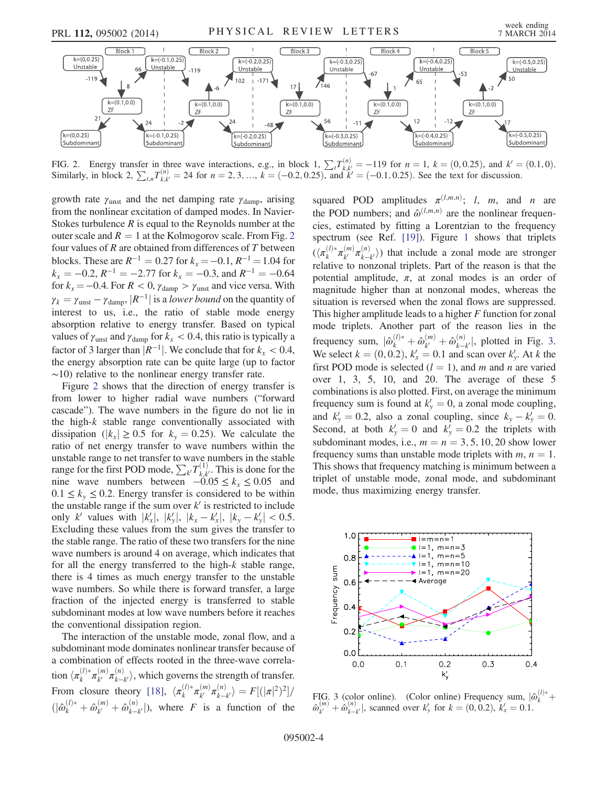<span id="page-3-0"></span>

FIG. 2. Energy transfer in three wave interactions, e.g., in block 1,  $\sum_{k} T_{k,k'}^{(n)} = -119$  for  $n = 1$ ,  $k = (0, 0.25)$ , and  $k' = (0.1, 0)$ . Similarly, in block 2,  $\sum_{t,n} T_{k,k'}^{(n)} = 24$  for  $n = 2, 3, ..., k = (-0.2, 0.25)$ , and  $k' = (-0.1, 0.25)$ . See the text for discussion.

growth rate  $\gamma_{\text{unst}}$  and the net damping rate  $\gamma_{\text{damp}}$ , arising from the nonlinear excitation of damped modes. In Navier-Stokes turbulence  $R$  is equal to the Reynolds number at the outer scale and  $R = 1$  at the Kolmogorov scale. From Fig. [2](#page-3-0) four values of  $R$  are obtained from differences of  $T$  between blocks. These are  $R^{-1} = 0.27$  for  $k_x = -0.1$ ,  $R^{-1} = 1.04$  for  $k_x = -0.2$ ,  $R^{-1} = -2.77$  for  $k_x = -0.3$ , and  $R^{-1} = -0.64$ for  $k_x = -0.4$ . For  $R < 0$ ,  $\gamma_{\text{damp}} > \gamma_{\text{unst}}$  and vice versa. With  $\gamma_k = \gamma_{\text{unst}} - \gamma_{\text{damp}}$ ,  $|R^{-1}|$  is a lower bound on the quantity of interest to us, i.e., the ratio of stable mode energy absorption relative to energy transfer. Based on typical values of  $\gamma_{\text{unst}}$  and  $\gamma_{\text{damp}}$  for  $k_x < 0.4$ , this ratio is typically a factor of 3 larger than  $|R^{-1}|$ . We conclude that for  $k_x < 0.4$ , the energy absorption rate can be quite large (up to factor  $~\sim$ 10) relative to the nonlinear energy transfer rate.

Figure [2](#page-3-0) shows that the direction of energy transfer is from lower to higher radial wave numbers ("forward cascade"). The wave numbers in the figure do not lie in the high- $k$  stable range conventionally associated with dissipation ( $|k_x| \ge 0.5$  for  $k_y = 0.25$ ). We calculate the ratio of net energy transfer to wave numbers within the unstable range to net transfer to wave numbers in the stable range for the first POD mode,  $\sum_{k'} T_{k,k'}^{(1)}$ . This is done for the nine wave numbers between  $-0.05 \le k_x \le 0.05$  and  $0.1 \leq k_{y} \leq 0.2$ . Energy transfer is considered to be within the unstable range if the sum over  $k'$  is restricted to include only k' values with  $|k'_x|, |k'_y|, |k_x - k'_x|, |k_y - k'_y| < 0.5$ . Excluding these values from the sum gives the transfer to the stable range. The ratio of these two transfers for the nine wave numbers is around 4 on average, which indicates that for all the energy transferred to the high-k stable range, there is 4 times as much energy transfer to the unstable wave numbers. So while there is forward transfer, a large fraction of the injected energy is transferred to stable subdominant modes at low wave numbers before it reaches the conventional dissipation region.

The interaction of the unstable mode, zonal flow, and a subdominant mode dominates nonlinear transfer because of a combination of effects rooted in the three-wave correlation  $\langle \pi_k^{(l)*} \pi_{k'}^{(m)} \pi_{k-k'}^{(n)} \rangle$ , which governs the strength of transfer. From closure theory [\[18\]](#page-4-17),  $\langle \pi_k^{(l)} \pi_{k'}^{(m)} \pi_{k-k'}^{(n)} \rangle = F[(|\pi|^2)^2] /$  $(|\hat{\omega}_k^{(l)*} + \hat{\omega}_{k'}^{(m)} + \hat{\omega}_{k-k'}^{(n)}|$ , where *F* is a function of the

squared POD amplitudes  $\pi^{(l,m,n)}$ ; l, m, and n are the POD numbers; and  $\hat{\omega}^{(l,m,n)}$  are the nonlinear frequencies, estimated by fitting a Lorentzian to the frequency spectrum (see Ref. [\[19\]](#page-4-18)). Figure [1](#page-2-0) shows that triplets  $(\langle \pi_k^{(l)*} \pi_{k'}^{(m)} \pi_{k-k'}^{(n)} \rangle)$  that include a zonal mode are stronger relative to nonzonal triplets. Part of the reason is that the potential amplitude,  $\pi$ , at zonal modes is an order of magnitude higher than at nonzonal modes, whereas the situation is reversed when the zonal flows are suppressed. This higher amplitude leads to a higher F function for zonal mode triplets. Another part of the reason lies in the frequency sum,  $|\hat{\omega}_k^{(l)*} + \hat{\omega}_{k'}^{(m)} + \hat{\omega}_{k-k'}^{(n)}|$ , plotted in Fig. [3](#page-3-1). We select  $k = (0, 0.2)$ ,  $k'_x = 0.1$  and scan over  $k'_y$ . At k the first POD mode is selected  $(l = 1)$ , and m and n are varied over 1, 3, 5, 10, and 20. The average of these 5 combinations is also plotted. First, on average the minimum frequency sum is found at  $k'_y = 0$ , a zonal mode coupling, and  $k'_y = 0.2$ , also a zonal coupling, since  $k_y - k'_y = 0$ . Second, at both  $k'_y = 0$  and  $k'_y = 0.2$  the triplets with subdominant modes, i.e.,  $m = n = 3, 5, 10, 20$  show lower frequency sums than unstable mode triplets with  $m, n = 1$ . This shows that frequency matching is minimum between a triplet of unstable mode, zonal mode, and subdominant mode, thus maximizing energy transfer.

<span id="page-3-1"></span>

FIG. 3 (color online). (Color online) Frequency sum,  $|\hat{\omega}_k^{(l)*} + \hat{\omega}_{k'}^{(n)}|$ , scanned over  $k'_y$  for  $k = (0, 0.2)$ ,  $k'_x = 0.1$ .